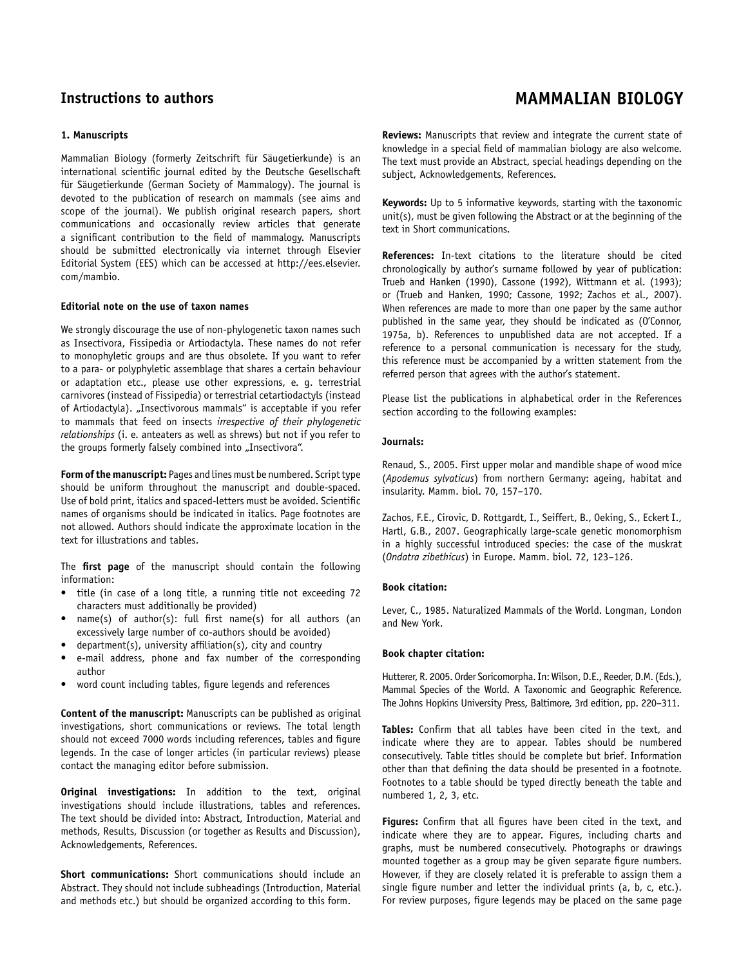# **1. Manuscripts**

Mammalian Biology (formerly Zeitschrift für Säugetierkunde) is an international scientific journal edited by the Deutsche Gesellschaft für Säugetierkunde (German Society of Mammalogy). The journal is devoted to the publication of research on mammals (see aims and scope of the journal). We publish original research papers, short communications and occasionally review articles that generate a significant contribution to the field of mammalogy. Manuscripts should be submitted electronically via internet through Elsevier Editorial System (EES) which can be accessed at http://ees.elsevier. com/mambio.

# **Editorial note on the use of taxon names**

We strongly discourage the use of non-phylogenetic taxon names such as Insectivora, Fissipedia or Artiodactyla. These names do not refer to monophyletic groups and are thus obsolete. If you want to refer to a para- or polyphyletic assemblage that shares a certain behaviour or adaptation etc., please use other expressions, e. g. terrestrial carnivores (instead of Fissipedia) or terrestrial cetartiodactyls (instead of Artiodactyla). "Insectivorous mammals" is acceptable if you refer to mammals that feed on insects *irrespective of their phylogenetic relationships* (i. e. anteaters as well as shrews) but not if you refer to the groups formerly falsely combined into "Insectivora".

**Form of the manuscript:** Pages and lines must be numbered. Script type should be uniform throughout the manuscript and double-spaced. Use of bold print, italics and spaced-letters must be avoided. Scientific names of organisms should be indicated in italics. Page footnotes are not allowed. Authors should indicate the approximate location in the text for illustrations and tables.

The **first page** of the manuscript should contain the following information:

- title (in case of a long title, a running title not exceeding 72 characters must additionally be provided)
- $name(s)$  of author(s): full first name(s) for all authors (an excessively large number of co-authors should be avoided)
- $department(s)$ , university affiliation(s), city and country
- e-mail address, phone and fax number of the corresponding author
- word count including tables, figure legends and references

**Content of the manuscript:** Manuscripts can be published as original investigations, short communications or reviews. The total length should not exceed 7000 words including references, tables and figure legends. In the case of longer articles (in particular reviews) please contact the managing editor before submission.

**Original investigations:** In addition to the text, original investigations should include illustrations, tables and references. The text should be divided into: Abstract, Introduction, Material and methods, Results, Discussion (or together as Results and Discussion), Acknowledgements, References.

**Short communications:** Short communications should include an Abstract. They should not include subheadings (Introduction, Material and methods etc.) but should be organized according to this form.

# **Instructions to authors MAMMALIAN BIOLOGY**

**Reviews:** Manuscripts that review and integrate the current state of knowledge in a special field of mammalian biology are also welcome. The text must provide an Abstract, special headings depending on the subject, Acknowledgements, References.

**Keywords:** Up to 5 informative keywords, starting with the taxonomic unit(s), must be given following the Abstract or at the beginning of the text in Short communications.

**References:** In-text citations to the literature should be cited chronologically by author's surname followed by year of publication: Trueb and Hanken (1990), Cassone (1992), Wittmann et al. (1993); or (Trueb and Hanken, 1990; Cassone, 1992; Zachos et al., 2007). When references are made to more than one paper by the same author published in the same year, they should be indicated as (O'Connor, 1975a, b). References to unpublished data are not accepted. If a reference to a personal communication is necessary for the study, this reference must be accompanied by a written statement from the referred person that agrees with the author's statement.

Please list the publications in alphabetical order in the References section according to the following examples:

### **Journals:**

Renaud, S., 2005. First upper molar and mandible shape of wood mice (*Apodemus sylvaticus*) from northern Germany: ageing, habitat and insularity. Mamm. biol. 70, 157–170.

Zachos, F.E., Cirovic, D. Rottgardt, I., Seiffert, B., Oeking, S., Eckert I., Hartl, G.B., 2007. Geographically large-scale genetic monomorphism in a highly successful introduced species: the case of the muskrat (*Ondatra zibethicus*) in Europe. Mamm. biol. 72, 123–126.

## **Book citation:**

Lever, C., 1985. Naturalized Mammals of the World. Longman, London and New York.

#### **Book chapter citation:**

Hutterer, R. 2005. Order Soricomorpha. In: Wilson, D.E., Reeder, D.M. (Eds.), Mammal Species of the World. A Taxonomic and Geographic Reference. The Johns Hopkins University Press, Baltimore, 3rd edition, pp. 220–311.

Tables: Confirm that all tables have been cited in the text, and indicate where they are to appear. Tables should be numbered consecutively. Table titles should be complete but brief. Information other than that defining the data should be presented in a footnote. Footnotes to a table should be typed directly beneath the table and numbered 1, 2, 3, etc.

Figures: Confirm that all figures have been cited in the text, and indicate where they are to appear. Figures, including charts and graphs, must be numbered consecutively. Photographs or drawings mounted together as a group may be given separate figure numbers. However, if they are closely related it is preferable to assign them a single figure number and letter the individual prints (a, b, c, etc.). For review purposes, figure legends may be placed on the same page